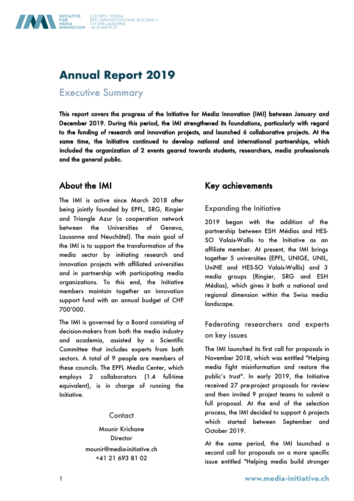

# **Annual Report 2019**

Executive Summary

This report covers the progress of the Initiative for Media Innovation (IMI) between January and December 2019. During this period, the IMI strengthened its foundations, particularly with regard to the funding of research and innovation projects, and launched 6 collaborative projects. At the same time, the Initiative continued to develop national and international partnerships, which included the organization of 2 events geared towards students, researchers, media professionals and the general public.

## About the IMI

The IMI is active since March 2018 after being jointly founded by EPFL, SRG, Ringier and Triangle Azur (a cooperation network between the Universities of Geneva, Lausanne and Neuchâtel). The main goal of the IMI is to support the transformation of the media sector by initiating research and innovation projects with affiliated universities and in partnership with participating media organizations. To this end, the Initiative members maintain together an innovation support fund with an annual budget of CHF 700'000.

The IMI is governed by a Board consisting of decision-makers from both the media industry and academia, assisted by a Scientific Committee that includes experts from both sectors. A total of 9 people are members of these councils. The EPFL Media Center, which employs 2 collaborators (1.4 full-time equivalent), is in charge of running the Initiative.

### **Contact**

Mounir Krichane **Director** mounir@media-initiative.ch +41 21 693 81 02

## Key achievements

Expanding the Initiative

2019 began with the addition of the partnership between ESH Médias and HES-SO Valais-Wallis to the Initiative as an affiliate member. At present, the IMI brings together 5 universities (EPFL, UNIGE, UNIL, UniNE and HES-SO Valais-Wallis) and 3 media groups (Ringier, SRG and ESH Médias), which gives it both a national and regional dimension within the Swiss media landscape.

### Federating researchers and experts on key issues

The IMI launched its first call for proposals in November 2018, which was entitled "Helping media fight misinformation and restore the public's trust". In early 2019, the Initiative received 27 pre-project proposals for review and then invited 9 project teams to submit a full proposal. At the end of the selection process, the IMI decided to support 6 projects which started between September and October 2019.

At the same period, the IMI launched a second call for proposals on a more specific issue entitled "Helping media build stronger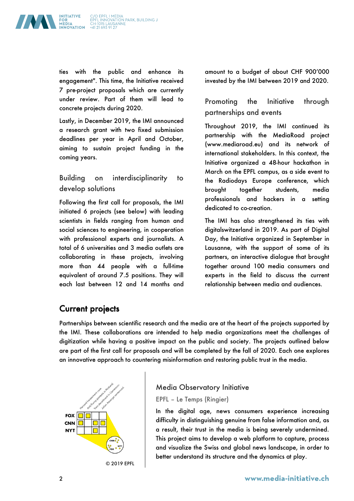C/O EPFL I MEDIA<br>EPFL INNOVATION PARK, BUILDING J<br>CH-1015 LAUSANNE<br>+41 21 693 91 27



ties with the public and enhance its engagement". This time, the Initiative received 7 pre-project proposals which are currently under review. Part of them will lead to concrete projects during 2020.

Lastly, in December 2019, the IMI announced a research grant with two fixed submission deadlines per year in April and October, aiming to sustain project funding in the coming years.

Building on interdisciplinarity to develop solutions

Following the first call for proposals, the IMI initiated 6 projects (see below) with leading scientists in fields ranging from human and social sciences to engineering, in cooperation with professional experts and journalists. A total of 6 universities and 3 media outlets are collaborating in these projects, involving more than 44 people with a full-time equivalent of around 7.5 positions. They will each last between 12 and 14 months and amount to a budget of about CHF 900'000 invested by the IMI between 2019 and 2020.

Promoting the Initiative through partnerships and events

Throughout 2019, the IMI continued its partnership with the MediaRoad project (www.mediaroad.eu) and its network of international stakeholders. In this context, the Initiative organized a 48-hour hackathon in March on the EPFL campus, as a side event to the Radiodays Europe conference, which brought together students, media professionals and hackers in a setting dedicated to co-creation.

The IMI has also strengthened its ties with digitalswitzerland in 2019. As part of Digital Day, the Initiative organized in September in Lausanne, with the support of some of its partners, an interactive dialogue that brought together around 100 media consumers and experts in the field to discuss the current relationship between media and audiences.

## Current projects

Partnerships between scientific research and the media are at the heart of the projects supported by the IMI. These collaborations are intended to help media organizations meet the challenges of digitization while having a positive impact on the public and society. The projects outlined below are part of the first call for proposals and will be completed by the fall of 2020. Each one explores an innovative approach to countering misinformation and restoring public trust in the media.



© 2019 EPFL

### Media Observatory Initiative

#### EPFL – Le Temps (Ringier)

In the digital age, news consumers experience increasing difficulty in distinguishing genuine from false information and, as a result, their trust in the media is being severely undermined. This project aims to develop a web platform to capture, process and visualize the Swiss and global news landscape, in order to better understand its structure and the dynamics at play.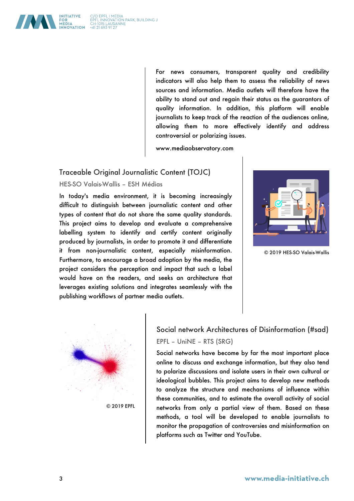

www.mediaobservatory.com

#### Traceable Original Journalistic Content (TOJC)

#### HES-SO Valais-Wallis – ESH Médias

In today's media environment, it is becoming increasingly difficult to distinguish between journalistic content and other types of content that do not share the same quality standards. This project aims to develop and evaluate a comprehensive labelling system to identify and certify content originally produced by journalists, in order to promote it and differentiate it from non-journalistic content, especially misinformation. Furthermore, to encourage a broad adoption by the media, the project considers the perception and impact that such a label would have on the readers, and seeks an architecture that leverages existing solutions and integrates seamlessly with the publishing workflows of partner media outlets.



© 2019 HES-SO Valais-Wallis



## Social network Architectures of Disinformation (#sad) EPFL – UniNE – RTS (SRG)

Social networks have become by far the most important place online to discuss and exchange information, but they also tend to polarize discussions and isolate users in their own cultural or ideological bubbles. This project aims to develop new methods to analyze the structure and mechanisms of influence within these communities, and to estimate the overall activity of social networks from only a partial view of them. Based on these methods, a tool will be developed to enable journalists to monitor the propagation of controversies and misinformation on platforms such as Twitter and YouTube.